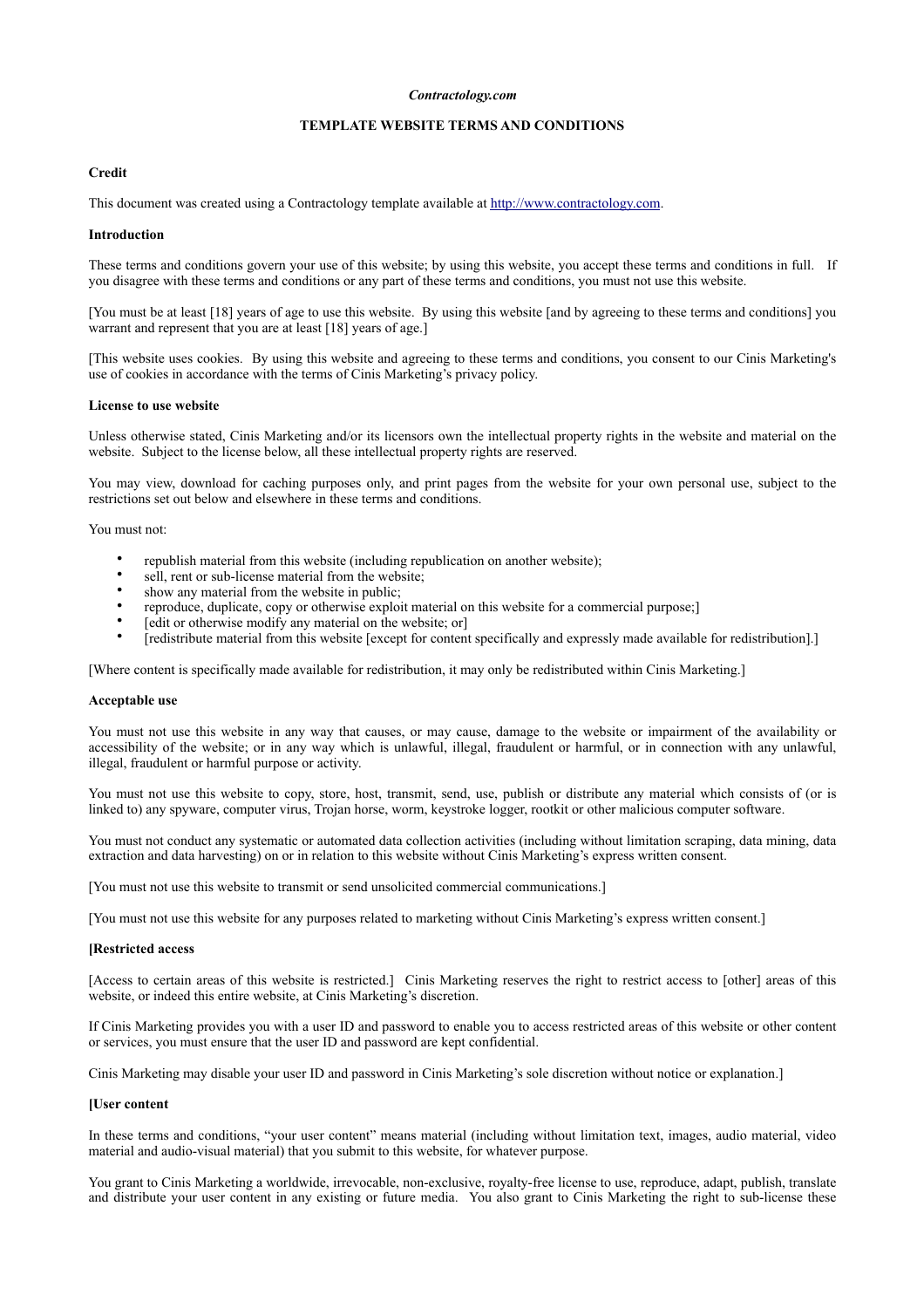#### *Contractology.com*

# **TEMPLATE WEBSITE TERMS AND CONDITIONS**

## **Credit**

This document was created using a Contractology template available at <http://www.contractology.com>.

#### **Introduction**

These terms and conditions govern your use of this website; by using this website, you accept these terms and conditions in full. If you disagree with these terms and conditions or any part of these terms and conditions, you must not use this website.

[You must be at least [18] years of age to use this website. By using this website [and by agreeing to these terms and conditions] you warrant and represent that you are at least [18] years of age.]

[This website uses cookies. By using this website and agreeing to these terms and conditions, you consent to our Cinis Marketing's use of cookies in accordance with the terms of Cinis Marketing's privacy policy.

#### **License to use website**

Unless otherwise stated, Cinis Marketing and/or its licensors own the intellectual property rights in the website and material on the website. Subject to the license below, all these intellectual property rights are reserved.

You may view, download for caching purposes only, and print pages from the website for your own personal use, subject to the restrictions set out below and elsewhere in these terms and conditions.

You must not:

- republish material from this website (including republication on another website);
- sell, rent or sub-license material from the website:
- show any material from the website in public;
- reproduce, duplicate, copy or otherwise exploit material on this website for a commercial purpose;]
- [edit or otherwise modify any material on the website; or]
- [redistribute material from this website [except for content specifically and expressly made available for redistribution].]

[Where content is specifically made available for redistribution, it may only be redistributed within Cinis Marketing.]

#### **Acceptable use**

You must not use this website in any way that causes, or may cause, damage to the website or impairment of the availability or accessibility of the website; or in any way which is unlawful, illegal, fraudulent or harmful, or in connection with any unlawful, illegal, fraudulent or harmful purpose or activity.

You must not use this website to copy, store, host, transmit, send, use, publish or distribute any material which consists of (or is linked to) any spyware, computer virus, Trojan horse, worm, keystroke logger, rootkit or other malicious computer software.

You must not conduct any systematic or automated data collection activities (including without limitation scraping, data mining, data extraction and data harvesting) on or in relation to this website without Cinis Marketing's express written consent.

[You must not use this website to transmit or send unsolicited commercial communications.]

[You must not use this website for any purposes related to marketing without Cinis Marketing's express written consent.]

#### **[Restricted access**

[Access to certain areas of this website is restricted.] Cinis Marketing reserves the right to restrict access to [other] areas of this website, or indeed this entire website, at Cinis Marketing's discretion.

If Cinis Marketing provides you with a user ID and password to enable you to access restricted areas of this website or other content or services, you must ensure that the user ID and password are kept confidential.

Cinis Marketing may disable your user ID and password in Cinis Marketing's sole discretion without notice or explanation.]

#### **[User content**

In these terms and conditions, "your user content" means material (including without limitation text, images, audio material, video material and audio-visual material) that you submit to this website, for whatever purpose.

You grant to Cinis Marketing a worldwide, irrevocable, non-exclusive, royalty-free license to use, reproduce, adapt, publish, translate and distribute your user content in any existing or future media. You also grant to Cinis Marketing the right to sub-license these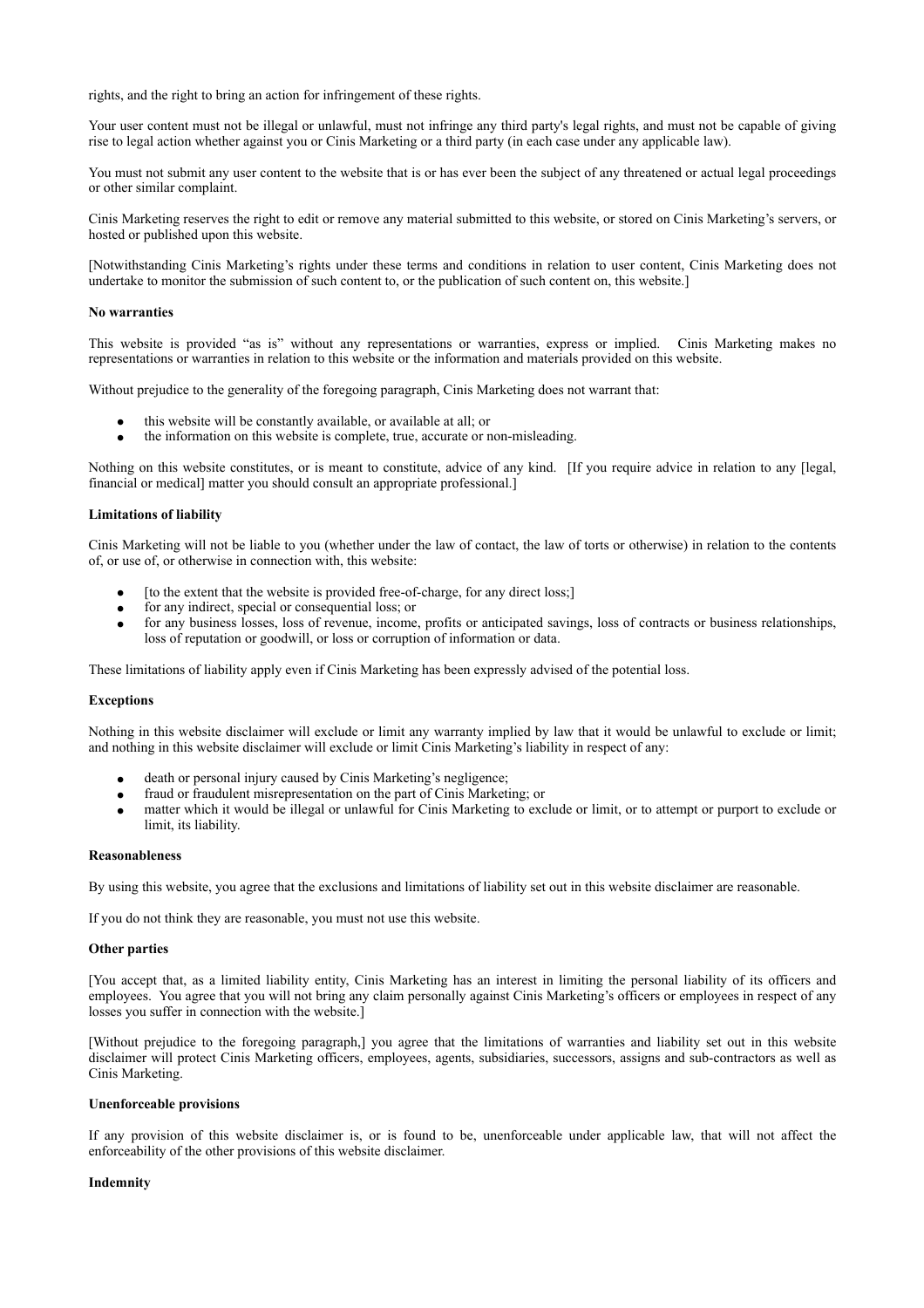rights, and the right to bring an action for infringement of these rights.

Your user content must not be illegal or unlawful, must not infringe any third party's legal rights, and must not be capable of giving rise to legal action whether against you or Cinis Marketing or a third party (in each case under any applicable law).

You must not submit any user content to the website that is or has ever been the subject of any threatened or actual legal proceedings or other similar complaint.

Cinis Marketing reserves the right to edit or remove any material submitted to this website, or stored on Cinis Marketing's servers, or hosted or published upon this website.

[Notwithstanding Cinis Marketing's rights under these terms and conditions in relation to user content, Cinis Marketing does not undertake to monitor the submission of such content to, or the publication of such content on, this website.]

## **No warranties**

This website is provided "as is" without any representations or warranties, express or implied. Cinis Marketing makes no representations or warranties in relation to this website or the information and materials provided on this website.

Without prejudice to the generality of the foregoing paragraph, Cinis Marketing does not warrant that:

- this website will be constantly available, or available at all; or
- the information on this website is complete, true, accurate or non-misleading.

Nothing on this website constitutes, or is meant to constitute, advice of any kind. [If you require advice in relation to any [legal, financial or medical] matter you should consult an appropriate professional.]

# **Limitations of liability**

Cinis Marketing will not be liable to you (whether under the law of contact, the law of torts or otherwise) in relation to the contents of, or use of, or otherwise in connection with, this website:

- [to the extent that the website is provided free-of-charge, for any direct loss;]
- for any indirect, special or consequential loss; or
- for any business losses, loss of revenue, income, profits or anticipated savings, loss of contracts or business relationships, loss of reputation or goodwill, or loss or corruption of information or data.

These limitations of liability apply even if Cinis Marketing has been expressly advised of the potential loss.

## **Exceptions**

Nothing in this website disclaimer will exclude or limit any warranty implied by law that it would be unlawful to exclude or limit; and nothing in this website disclaimer will exclude or limit Cinis Marketing's liability in respect of any:

- death or personal injury caused by Cinis Marketing's negligence;
- fraud or fraudulent misrepresentation on the part of Cinis Marketing; or
- matter which it would be illegal or unlawful for Cinis Marketing to exclude or limit, or to attempt or purport to exclude or limit, its liability.

# **Reasonableness**

By using this website, you agree that the exclusions and limitations of liability set out in this website disclaimer are reasonable.

If you do not think they are reasonable, you must not use this website.

## **Other parties**

[You accept that, as a limited liability entity, Cinis Marketing has an interest in limiting the personal liability of its officers and employees. You agree that you will not bring any claim personally against Cinis Marketing's officers or employees in respect of any losses you suffer in connection with the website.]

[Without prejudice to the foregoing paragraph,] you agree that the limitations of warranties and liability set out in this website disclaimer will protect Cinis Marketing officers, employees, agents, subsidiaries, successors, assigns and sub-contractors as well as Cinis Marketing.

## **Unenforceable provisions**

If any provision of this website disclaimer is, or is found to be, unenforceable under applicable law, that will not affect the enforceability of the other provisions of this website disclaimer.

# **Indemnity**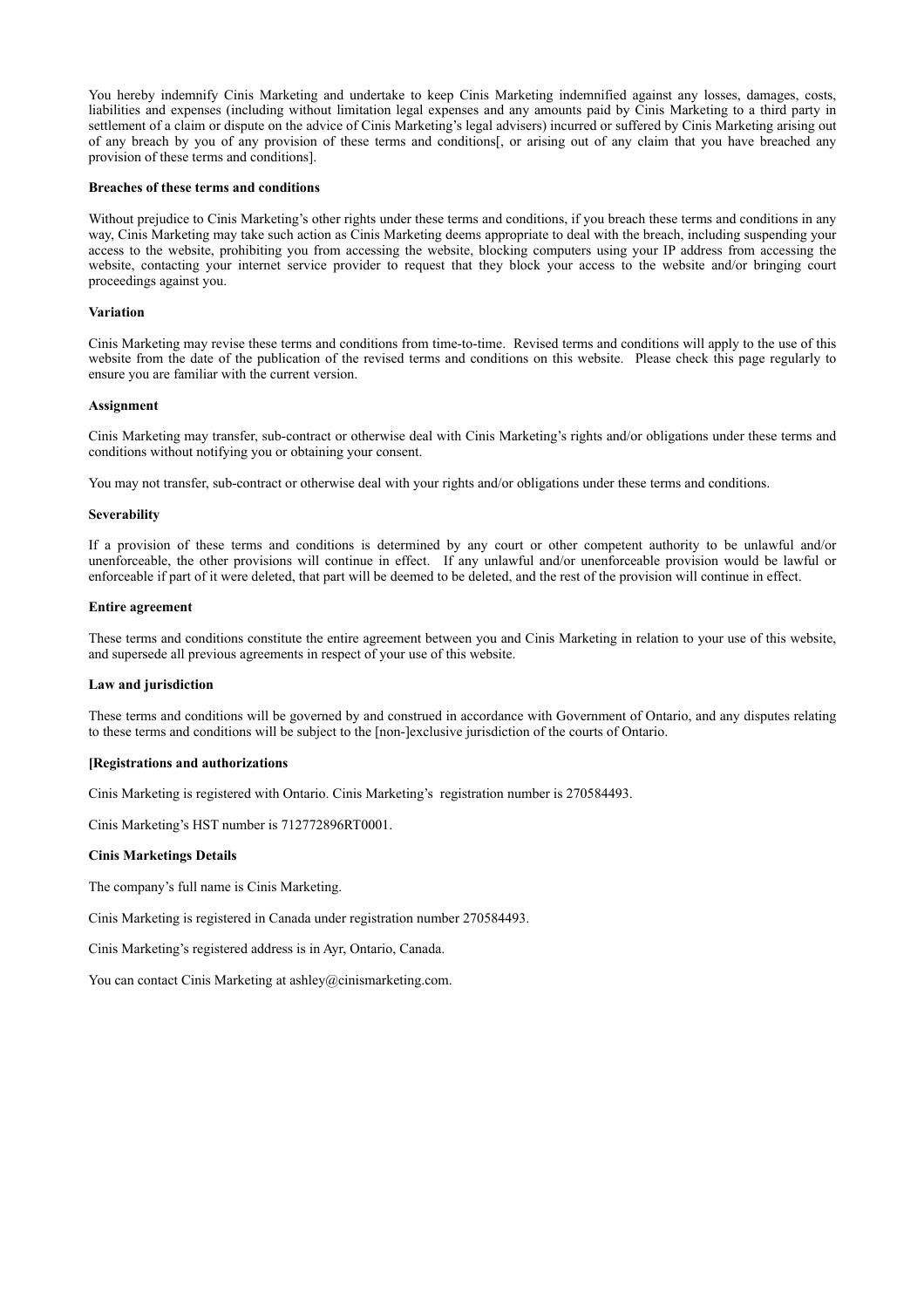You hereby indemnify Cinis Marketing and undertake to keep Cinis Marketing indemnified against any losses, damages, costs, liabilities and expenses (including without limitation legal expenses and any amounts paid by Cinis Marketing to a third party in settlement of a claim or dispute on the advice of Cinis Marketing's legal advisers) incurred or suffered by Cinis Marketing arising out of any breach by you of any provision of these terms and conditions[, or arising out of any claim that you have breached any provision of these terms and conditions].

## **Breaches of these terms and conditions**

Without prejudice to Cinis Marketing's other rights under these terms and conditions, if you breach these terms and conditions in any way, Cinis Marketing may take such action as Cinis Marketing deems appropriate to deal with the breach, including suspending your access to the website, prohibiting you from accessing the website, blocking computers using your IP address from accessing the website, contacting your internet service provider to request that they block your access to the website and/or bringing court proceedings against you.

# **Variation**

Cinis Marketing may revise these terms and conditions from time-to-time. Revised terms and conditions will apply to the use of this website from the date of the publication of the revised terms and conditions on this website. Please check this page regularly to ensure you are familiar with the current version.

# **Assignment**

Cinis Marketing may transfer, sub-contract or otherwise deal with Cinis Marketing's rights and/or obligations under these terms and conditions without notifying you or obtaining your consent.

You may not transfer, sub-contract or otherwise deal with your rights and/or obligations under these terms and conditions.

## **Severability**

If a provision of these terms and conditions is determined by any court or other competent authority to be unlawful and/or unenforceable, the other provisions will continue in effect. If any unlawful and/or unenforceable provision would be lawful or enforceable if part of it were deleted, that part will be deemed to be deleted, and the rest of the provision will continue in effect.

# **Entire agreement**

These terms and conditions constitute the entire agreement between you and Cinis Marketing in relation to your use of this website, and supersede all previous agreements in respect of your use of this website.

## **Law and jurisdiction**

These terms and conditions will be governed by and construed in accordance with Government of Ontario, and any disputes relating to these terms and conditions will be subject to the [non-]exclusive jurisdiction of the courts of Ontario.

## **[Registrations and authorizations**

Cinis Marketing is registered with Ontario. Cinis Marketing's registration number is 270584493.

Cinis Marketing's HST number is 712772896RT0001.

## **Cinis Marketings Details**

The company's full name is Cinis Marketing.

Cinis Marketing is registered in Canada under registration number 270584493.

Cinis Marketing's registered address is in Ayr, Ontario, Canada.

You can contact Cinis Marketing at ashley@cinismarketing.com.